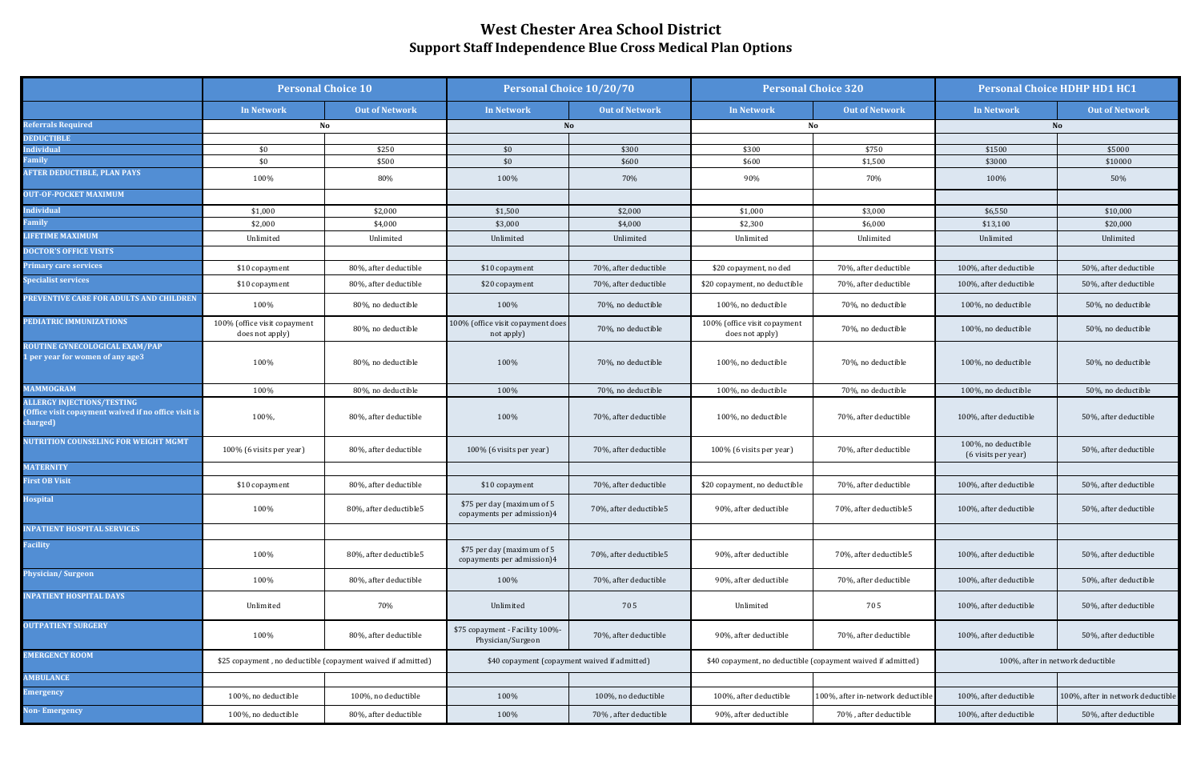|                                                                                                      | <b>Personal Choice 10</b>                                    |                        | <b>Personal Choice 10/20/70</b>                          |                        | <b>Personal Choice 320</b>                                   |                                   | <b>Personal Choice HDHP HD1 HC1</b>        |                                   |
|------------------------------------------------------------------------------------------------------|--------------------------------------------------------------|------------------------|----------------------------------------------------------|------------------------|--------------------------------------------------------------|-----------------------------------|--------------------------------------------|-----------------------------------|
|                                                                                                      | <b>In Network</b>                                            | <b>Out of Network</b>  | <b>In Network</b>                                        | <b>Out of Network</b>  | <b>In Network</b>                                            | <b>Out of Network</b>             | In Network                                 | <b>Out of Network</b>             |
| Referrals Required                                                                                   | No                                                           |                        | No                                                       |                        |                                                              | No                                | <b>No</b>                                  |                                   |
| <b>EDUCTIBLE</b>                                                                                     |                                                              |                        |                                                          |                        |                                                              |                                   |                                            |                                   |
| ndividual                                                                                            | \$0                                                          | \$250                  | \$0                                                      | \$300                  | \$300                                                        | \$750                             | \$1500                                     | \$5000                            |
| <b>Family</b>                                                                                        | \$0                                                          | \$500                  | \$0                                                      | \$600                  | \$600                                                        | \$1,500                           | \$3000                                     | \$10000                           |
| <b>IFTER DEDUCTIBLE, PLAN PAYS</b>                                                                   | 100%                                                         | 80%                    | 100%                                                     | 70%                    | 90%                                                          | 70%                               | 100%                                       | 50%                               |
| <b>DUT-OF-POCKET MAXIMUM</b>                                                                         |                                                              |                        |                                                          |                        |                                                              |                                   |                                            |                                   |
| ndividual                                                                                            | \$1,000                                                      | \$2,000                | \$1,500                                                  | \$2,000                | \$1,000                                                      | \$3,000                           | \$6,550                                    | \$10,000                          |
| amily                                                                                                | \$2,000                                                      | \$4,000                | \$3,000                                                  | \$4,000                | \$2,300                                                      | \$6,000                           | \$13,100                                   | \$20,000                          |
| <b>IFETIME MAXIMUM</b>                                                                               | Unlimited                                                    | Unlimited              | Unlimited                                                | Unlimited              | Unlimited                                                    | Unlimited                         | Unlimited                                  | Unlimited                         |
| <b>OCTOR'S OFFICE VISITS</b>                                                                         |                                                              |                        |                                                          |                        |                                                              |                                   |                                            |                                   |
| rimary care services                                                                                 | \$10 copayment                                               | 80%, after deductible  | \$10 copayment                                           | 70%, after deductible  | \$20 copayment, no ded                                       | 70%, after deductible             | 100%, after deductible                     | 50%, after deductible             |
| pecialist services                                                                                   | \$10 copayment                                               | 80%, after deductible  | \$20 copayment                                           | 70%, after deductible  | \$20 copayment, no deductible                                | 70%, after deductible             | 100%, after deductible                     | 50%, after deductible             |
| <b>REVENTIVE CARE FOR ADULTS AND CHILDREN</b>                                                        | 100%                                                         | 80%, no deductible     | 100%                                                     | 70%, no deductible     | 100%, no deductible                                          | 70%, no deductible                | 100%, no deductible                        | 50%, no deductible                |
| PEDIATRIC IMMUNIZATIONS                                                                              | 100% (office visit copayment<br>does not apply)              | 80%, no deductible     | 100% (office visit copayment does<br>not apply)          | 70%, no deductible     | 100% (office visit copayment<br>does not apply)              | 70%, no deductible                | 100%, no deductible                        | 50%, no deductible                |
| ROUTINE GYNECOLOGICAL EXAM/PAP<br>per year for women of any age3                                     | 100%                                                         | 80%, no deductible     | 100%                                                     | 70%, no deductible     | 100%, no deductible                                          | 70%, no deductible                | 100%, no deductible                        | 50%, no deductible                |
| <b>IAMMOGRAM</b>                                                                                     | 100%                                                         | 80%, no deductible     | 100%                                                     | 70%, no deductible     | 100%, no deductible                                          | 70%, no deductible                | 100%, no deductible                        | 50%, no deductible                |
| <b>ILLERGY INJECTIONS/TESTING</b><br>Office visit copayment waived if no office visit is<br>harged): | 100%,                                                        | 80%, after deductible  | 100%                                                     | 70%, after deductible  | 100%, no deductible                                          | 70%, after deductible             | 100%, after deductible                     | 50%, after deductible             |
| <b>IUTRITION COUNSELING FOR WEIGHT MGMT</b>                                                          | 100% (6 visits per year)                                     | 80%, after deductible  | 100% (6 visits per year)                                 | 70%, after deductible  | 100% (6 visits per year)                                     | 70%, after deductible             | 100%, no deductible<br>(6 visits per year) | 50%, after deductible             |
| <b>IATERNITY</b>                                                                                     |                                                              |                        |                                                          |                        |                                                              |                                   |                                            |                                   |
| irst OB Visit                                                                                        | \$10 copayment                                               | 80%, after deductible  | \$10 copayment                                           | 70%, after deductible  | \$20 copayment, no deductible                                | 70%, after deductible             | 100%, after deductible                     | 50%, after deductible             |
| <b>Hospital</b>                                                                                      | 100%                                                         | 80%, after deductible5 | \$75 per day (maximum of 5<br>copayments per admission)4 | 70%, after deductible5 | 90%, after deductible                                        | 70%, after deductible5            | 100%, after deductible                     | 50%, after deductible             |
| <b>NPATIENT HOSPITAL SERVICES</b>                                                                    |                                                              |                        |                                                          |                        |                                                              |                                   |                                            |                                   |
| <b>Facility</b>                                                                                      | 100%                                                         | 80%, after deductible5 | \$75 per day (maximum of 5<br>copayments per admission)4 | 70%, after deductible5 | 90%, after deductible                                        | 70%, after deductible5            | 100%, after deductible                     | 50%, after deductible             |
| hysician/Surgeon                                                                                     | 100%                                                         | 80%, after deductible  | 100%                                                     | 70%, after deductible  | 90%, after deductible                                        | 70%, after deductible             | 100%, after deductible                     | 50%, after deductible             |
| <b>NPATIENT HOSPITAL DAYS</b>                                                                        | Unlimited                                                    | 70%                    | Unlimited                                                | 705                    | Unlimited                                                    | 705                               | 100%, after deductible                     | 50%, after deductible             |
| <b>DUTPATIENT SURGERY</b>                                                                            | 100%                                                         | 80%, after deductible  | \$75 copayment - Facility 100%-<br>Physician/Surgeon     | 70%, after deductible  | 90%, after deductible                                        | 70%, after deductible             | 100%, after deductible                     | 50%, after deductible             |
| <b>EMERGENCY ROOM</b>                                                                                | \$25 copayment, no deductible (copayment waived if admitted) |                        | \$40 copayment (copayment waived if admitted)            |                        | \$40 copayment, no deductible (copayment waived if admitted) |                                   | 100%, after in network deductible          |                                   |
| <b>AMBULANCE</b>                                                                                     |                                                              |                        |                                                          |                        |                                                              |                                   |                                            |                                   |
| <b>Emergency</b>                                                                                     | 100%, no deductible                                          | 100%, no deductible    | 100%                                                     | 100%, no deductible    | 100%, after deductible                                       | 100%, after in-network deductible | 100%, after deductible                     | 100%, after in network deductible |
| <b>Von-Emergency</b>                                                                                 | 100%, no deductible                                          | 80%, after deductible  | 100%                                                     | 70%, after deductible  | 90%, after deductible                                        | 70%, after deductible             | 100%, after deductible                     | 50%, after deductible             |

## **West Chester Area School District Support Staff Independence Blue Cross Medical Plan Options**